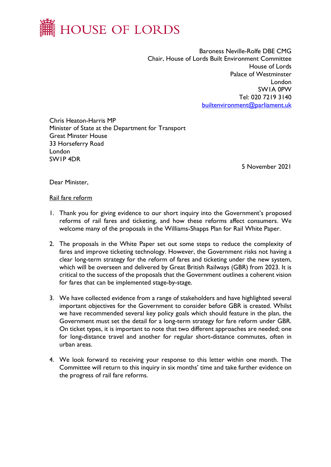

Baroness Neville-Rolfe DBE CMG Chair, House of Lords Built Environment Committee House of Lords Palace of Westminster London SW1A 0PW Tel: 020 7219 3140 [builtenvironment@parliament.uk](mailto:builtenvironment@parliament.uk)

Chris Heaton-Harris MP Minister of State at the Department for Transport Great Minster House 33 Horseferry Road London SW1P 4DR

5 November 2021

Dear Minister,

### Rail fare reform

- 1. Thank you for giving evidence to our short inquiry into the Government's proposed reforms of rail fares and ticketing, and how these reforms affect consumers. We welcome many of the proposals in the Williams-Shapps Plan for Rail White Paper.
- 2. The proposals in the White Paper set out some steps to reduce the complexity of fares and improve ticketing technology. However, the Government risks not having a clear long-term strategy for the reform of fares and ticketing under the new system, which will be overseen and delivered by Great British Railways (GBR) from 2023. It is critical to the success of the proposals that the Government outlines a coherent vision for fares that can be implemented stage-by-stage.
- 3. We have collected evidence from a range of stakeholders and have highlighted several important objectives for the Government to consider before GBR is created. Whilst we have recommended several key policy goals which should feature in the plan, the Government must set the detail for a long-term strategy for fare reform under GBR. On ticket types, it is important to note that two different approaches are needed; one for long-distance travel and another for regular short-distance commutes, often in urban areas.
- 4. We look forward to receiving your response to this letter within one month. The Committee will return to this inquiry in six months' time and take further evidence on the progress of rail fare reforms.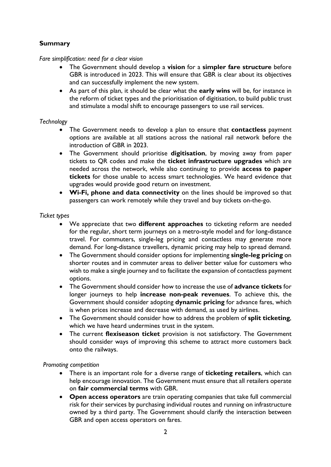# **Summary**

# *Fare simplification: need for a clear vision*

- The Government should develop a **vision** for a **simpler fare structure** before GBR is introduced in 2023. This will ensure that GBR is clear about its objectives and can successfully implement the new system.
- As part of this plan, it should be clear what the **early wins** will be, for instance in the reform of ticket types and the prioritisation of digitisation, to build public trust and stimulate a modal shift to encourage passengers to use rail services.

### *Technology*

- The Government needs to develop a plan to ensure that **contactless** payment options are available at all stations across the national rail network before the introduction of GBR in 2023.
- The Government should prioritise **digitisation**, by moving away from paper tickets to QR codes and make the **ticket infrastructure upgrades** which are needed across the network, while also continuing to provide **access to paper tickets** for those unable to access smart technologies. We heard evidence that upgrades would provide good return on investment.
- **Wi-Fi, phone and data connectivity** on the lines should be improved so that passengers can work remotely while they travel and buy tickets on-the-go.

### *Ticket types*

- We appreciate that two **different approaches** to ticketing reform are needed for the regular, short term journeys on a metro-style model and for long-distance travel. For commuters, single-leg pricing and contactless may generate more demand. For long-distance travellers, dynamic pricing may help to spread demand.
- The Government should consider options for implementing **single-leg pricing** on shorter routes and in commuter areas to deliver better value for customers who wish to make a single journey and to facilitate the expansion of contactless payment options.
- The Government should consider how to increase the use of **advance tickets** for longer journeys to help **increase non-peak revenues**. To achieve this, the Government should consider adopting **dynamic pricing** for advance fares, which is when prices increase and decrease with demand, as used by airlines.
- The Government should consider how to address the problem of **split ticketing**, which we have heard undermines trust in the system.
- The current **flexiseason ticket** provision is not satisfactory. The Government should consider ways of improving this scheme to attract more customers back onto the railways.

### *Promoting competition*

- There is an important role for a diverse range of **ticketing retailers**, which can help encourage innovation. The Government must ensure that all retailers operate on **fair commercial terms** with GBR.
- **Open access operators** are train operating companies that take full commercial risk for their services by purchasing individual routes and running on infrastructure owned by a third party. The Government should clarify the interaction between GBR and open access operators on fares.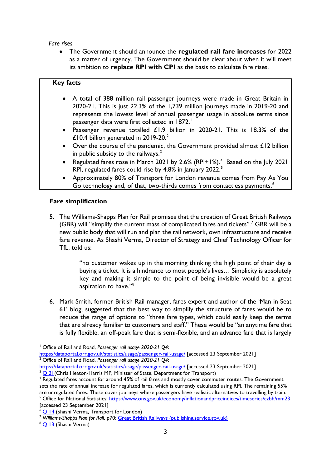### *Fare rises*

• The Government should announce the **regulated rail fare increases** for 2022 as a matter of urgency. The Government should be clear about when it will meet its ambition to **replace RPI with CPI** as the basis to calculate fare rises.

# **Key facts**

- A total of 388 million rail passenger journeys were made in Great Britain in 2020-21. This is just 22.3% of the 1,739 million journeys made in 2019-20 and represents the lowest level of annual passenger usage in absolute terms since passenger data were first collected in 1872. [1](#page-2-0)
- Passenger revenue totalled £1.9 billion in 2020-21. This is 18.3% of the £10.4 billion generated in  $2019-20.<sup>2</sup>$  $2019-20.<sup>2</sup>$
- Over the course of the pandemic, the Government provided almost  $£12$  billion in public subsidy to the railways.<sup>[3](#page-2-2)</sup>
- Regulated fares rose in March 2021 by 2.6% (RPI+1%).<sup>[4](#page-2-3)</sup> Based on the July 2021 RPI, regulated fares could rise by 4.8% in January 2022. [5](#page-2-4)
- Approximately 80% of Transport for London revenue comes from Pay As You Go technology and, of that, two-thirds comes from contactless payments.<sup>[6](#page-2-5)</sup>

# **Fare simplification**

5. The Williams-Shapps Plan for Rail promises that the creation of Great British Railways (GBR) will "simplify the current mass of complicated fares and tickets".<sup>[7](#page-2-6)</sup> GBR will be a new public body that will run and plan the rail network, own infrastructure and receive fare revenue. As Shashi Verma, Director of Strategy and Chief Technology Officer for TfL, told us:

> "no customer wakes up in the morning thinking the high point of their day is buying a ticket. It is a hindrance to most people's lives… Simplicity is absolutely key and making it simple to the point of being invisible would be a great aspiration to have."<sup>[8](#page-2-7)</sup>

6. Mark Smith, former British Rail manager, fares expert and author of the 'Man in Seat 61' blog, suggested that the best way to simplify the structure of fares would be to reduce the range of options to "three fare types, which could easily keep the terms that are already familiar to customers and staff." These would be "an anytime fare that is fully flexible, an off-peak fare that is semi-flexible, and an advance fare that is largely

<span id="page-2-0"></span><sup>1</sup> Office of Rail and Road, *Passenger rail usage 2020-21 Q4*:

<https://dataportal.orr.gov.uk/statistics/usage/passenger-rail-usage/> [accessed 23 September 2021] <sup>2</sup> Office of Rail and Road, *Passenger rail usage 2020-21 Q4*:

<span id="page-2-1"></span><https://dataportal.orr.gov.uk/statistics/usage/passenger-rail-usage/> [accessed 23 September 2021]

<span id="page-2-2"></span><sup>&</sup>lt;sup>3</sup> [Q 21\(](https://committees.parliament.uk/oralevidence/2738/html/)Chris Heaton-Harris MP, Minister of State, Department for Transport)

<span id="page-2-3"></span><sup>&</sup>lt;sup>4</sup> Regulated fares account for around 45% of rail fares and mostly cover commuter routes. The Government sets the rate of annual increase for regulated fares, which is currently calculated using RPI. The remaining 55% are unregulated fares. These cover journeys where passengers have realistic alternatives to travelling by train.

<span id="page-2-4"></span><sup>&</sup>lt;sup>5</sup> Office for National Statistics:<https://www.ons.gov.uk/economy/inflationandpriceindices/timeseries/czbh/mm23> [accessed 23 September 2021]

<span id="page-2-5"></span> $\frac{6}{9}$  Q [14](https://committees.parliament.uk/oralevidence/2684/html/) (Shashi Verma, Transport for London)

<span id="page-2-6"></span><sup>7</sup> *Williams-Shapps Plan for Rail*, p70: [Great British Railways \(publishing.service.gov.uk\)](https://assets.publishing.service.gov.uk/government/uploads/system/uploads/attachment_data/file/994603/gbr-williams-shapps-plan-for-rail.pdf)

<span id="page-2-7"></span><sup>8</sup> [Q 13](https://committees.parliament.uk/oralevidence/2684/html/) (Shashi Verma)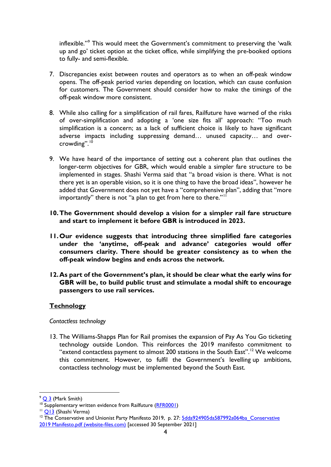inflexible."<sup>[9](#page-3-0)</sup> This would meet the Government's commitment to preserving the 'walk up and go' ticket option at the ticket office, while simplifying the pre-booked options to fully- and semi-flexible.

- 7. Discrepancies exist between routes and operators as to when an off-peak window opens. The off-peak period varies depending on location, which can cause confusion for customers. The Government should consider how to make the timings of the off-peak window more consistent.
- 8. While also calling for a simplification of rail fares, Railfuture have warned of the risks of over-simplification and adopting a 'one size fits all' approach: "Too much simplification is a concern; as a lack of sufficient choice is likely to have significant adverse impacts including suppressing demand… unused capacity… and overcrowding". [10](#page-3-1)
- 9. We have heard of the importance of setting out a coherent plan that outlines the longer-term objectives for GBR, which would enable a simpler fare structure to be implemented in stages. Shashi Verma said that "a broad vision is there. What is not there yet is an operable vision, so it is one thing to have the broad ideas", however he added that Government does not yet have a "comprehensive plan", adding that "more importantly" there is not "a plan to get from here to there."<sup>[11](#page-3-2)</sup>
- **10.The Government should develop a vision for a simpler rail fare structure and start to implement it before GBR is introduced in 2023.**
- **11.Our evidence suggests that introducing three simplified fare categories under the 'anytime, off-peak and advance' categories would offer consumers clarity. There should be greater consistency as to when the off-peak window begins and ends across the network.**
- **12.As part of the Government's plan, it should be clear what the early wins for GBR will be, to build public trust and stimulate a modal shift to encourage passengers to use rail services.**

# **Technology**

### *Contactless technology*

13. The Williams-Shapps Plan for Rail promises the expansion of Pay As You Go ticketing technology outside London. This reinforces the 2019 manifesto commitment to "extend contactless payment to almost 200 stations in the South East".<sup>[12](#page-3-3)</sup> We welcome this commitment. However, to fulfil the Government's levelling up ambitions, contactless technology must be implemented beyond the South East.

<span id="page-3-0"></span> $9^\circ$  [Q 3](https://committees.parliament.uk/oralevidence/2569/html/) (Mark Smith)

<span id="page-3-1"></span><sup>&</sup>lt;sup>10</sup> Supplementary written evidence from Railfuture [\(RFR0001\)](https://committees.parliament.uk/writtenevidence/38487/html/)

<span id="page-3-2"></span><sup>&</sup>lt;sup>11</sup> [Q13](https://committees.parliament.uk/oralevidence/2684/pdf/) (Shashi Verma)

<span id="page-3-3"></span><sup>&</sup>lt;sup>12</sup> The Conservative and Unionist Party Manifesto 2019, p. 27: 5dda924905da587992a064ba\_Conservative [2019 Manifesto.pdf \(website-files.com\)](https://assets-global.website-files.com/5da42e2cae7ebd3f8bde353c/5dda924905da587992a064ba_Conservative%202019%20Manifesto.pdf) [accessed 30 September 2021]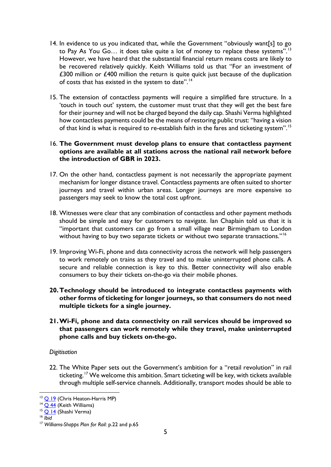- 14. In evidence to us you indicated that, while the Government "obviously want[s] to go to Pay As You Go... it does take quite a lot of money to replace these systems".<sup>[13](#page-4-0)</sup> However, we have heard that the substantial financial return means costs are likely to be recovered relatively quickly. Keith Williams told us that "For an investment of  $£300$  million or  $£400$  million the return is quite quick just because of the duplication of costs that has existed in the system to date".<sup>[14](#page-4-1)</sup>
- 15. The extension of contactless payments will require a simplified fare structure. In a 'touch in touch out' system, the customer must trust that they will get the best fare for their journey and will not be charged beyond the daily cap. Shashi Verma highlighted how contactless payments could be the means of restoring public trust: "having a vision of that kind is what is required to re-establish faith in the fares and ticketing system".<sup>[15](#page-4-2)</sup>

### 16. **The Government must develop plans to ensure that contactless payment options are available at all stations across the national rail network before the introduction of GBR in 2023.**

- 17. On the other hand, contactless payment is not necessarily the appropriate payment mechanism for longer distance travel. Contactless payments are often suited to shorter journeys and travel within urban areas. Longer journeys are more expensive so passengers may seek to know the total cost upfront.
- 18. Witnesses were clear that any combination of contactless and other payment methods should be simple and easy for customers to navigate. Ian Chaplain told us that it is "important that customers can go from a small village near Birmingham to London without having to buy two separate tickets or without two separate transactions."<sup>[16](#page-4-3)</sup>
- 19. Improving Wi-Fi, phone and data connectivity across the network will help passengers to work remotely on trains as they travel and to make uninterrupted phone calls. A secure and reliable connection is key to this. Better connectivity will also enable consumers to buy their tickets on-the-go via their mobile phones.
- **20.Technology should be introduced to integrate contactless payments with other forms of ticketing for longer journeys, so that consumers do not need multiple tickets for a single journey.**
- **21.Wi-Fi, phone and data connectivity on rail services should be improved so that passengers can work remotely while they travel, make uninterrupted phone calls and buy tickets on-the-go.**

### *Digitisation*

22. The White Paper sets out the Government's ambition for a "retail revolution" in rail ticketing. <sup>[17](#page-4-4)</sup> We welcome this ambition. Smart ticketing will be key, with tickets available through multiple self-service channels. Additionally, transport modes should be able to

<span id="page-4-0"></span><sup>&</sup>lt;sup>13</sup> O [19](https://committees.parliament.uk/oralevidence/2737/html/) (Chris Heaton-Harris MP)

<span id="page-4-1"></span> $14$  Q [44](https://committees.parliament.uk/oralevidence/2738/html/) (Keith Williams)

<span id="page-4-2"></span><sup>&</sup>lt;sup>15</sup> [Q 14](https://committees.parliament.uk/oralevidence/2684/html/) (Shashi Verma)

<span id="page-4-3"></span><sup>16</sup> *Ibid*

<span id="page-4-4"></span><sup>17</sup> *Williams-Shapps Plan for Rail:* p.22 and p.65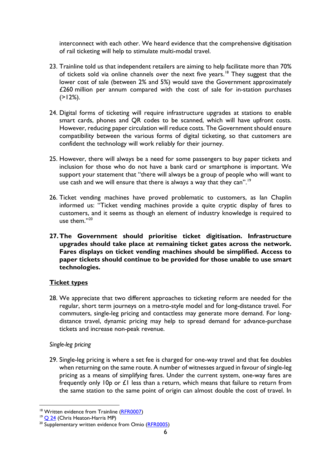interconnect with each other. We heard evidence that the comprehensive digitisation of rail ticketing will help to stimulate multi-modal travel.

- 23. Trainline told us that independent retailers are aiming to help facilitate more than 70% of tickets sold via online channels over the next five years.<sup>[18](#page-5-0)</sup> They suggest that the lower cost of sale (between 2% and 5%) would save the Government approximately £260 million per annum compared with the cost of sale for in-station purchases  $(>12\%).$
- 24. Digital forms of ticketing will require infrastructure upgrades at stations to enable smart cards, phones and QR codes to be scanned, which will have upfront costs. However, reducing paper circulation will reduce costs. The Government should ensure compatibility between the various forms of digital ticketing, so that customers are confident the technology will work reliably for their journey.
- 25. However, there will always be a need for some passengers to buy paper tickets and inclusion for those who do not have a bank card or smartphone is important. We support your statement that "there will always be a group of people who will want to use cash and we will ensure that there is always a way that they can".<sup>[19](#page-5-1)</sup>
- 26. Ticket vending machines have proved problematic to customers, as Ian Chaplin informed us: "Ticket vending machines provide a quite cryptic display of fares to customers, and it seems as though an element of industry knowledge is required to use them."[20](#page-5-2)
- **27.The Government should prioritise ticket digitisation. Infrastructure upgrades should take place at remaining ticket gates across the network. Fares displays on ticket vending machines should be simplified. Access to paper tickets should continue to be provided for those unable to use smart technologies.**

# **Ticket types**

28. We appreciate that two different approaches to ticketing reform are needed for the regular, short term journeys on a metro-style model and for long-distance travel. For commuters, single-leg pricing and contactless may generate more demand. For longdistance travel, dynamic pricing may help to spread demand for advance-purchase tickets and increase non-peak revenue.

# *Single-leg pricing*

29. Single-leg pricing is where a set fee is charged for one-way travel and that fee doubles when returning on the same route. A number of witnesses argued in favour of single-leg pricing as a means of simplifying fares. Under the current system, one-way fares are frequently only  $10p$  or  $£1$  less than a return, which means that failure to return from the same station to the same point of origin can almost double the cost of travel. In

<span id="page-5-0"></span><sup>&</sup>lt;sup>18</sup> Written evidence from Trainline [\(RFR0007\)](https://committees.parliament.uk/writtenevidence/39718/html/)

<span id="page-5-1"></span> $19$  Q [24](https://committees.parliament.uk/oralevidence/2738/html/) (Chris Heaton-Harris MP)

<span id="page-5-2"></span><sup>&</sup>lt;sup>20</sup> Supplementary written evidence from Omio [\(RFR0005\)](https://committees.parliament.uk/writtenevidence/39506/html/)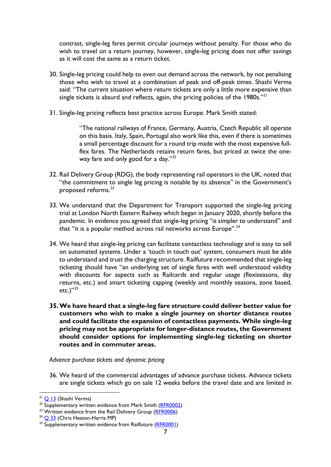contrast, single-leg fares permit circular journeys without penalty. For those who do wish to travel on a return journey, however, single-leg pricing does not offer savings as it will cost the same as a return ticket.

- 30. Single-leg pricing could help to even out demand across the network, by not penalising those who wish to travel at a combination of peak and off-peak times. Shashi Verma said: "The current situation where return tickets are only a little more expensive than single tickets is absurd and reflects, again, the pricing policies of the 1980s."<sup>[21](#page-6-0)</sup>
- 31. Single-leg pricing reflects best practice across Europe. Mark Smith stated:

"The national railways of France, Germany, Austria, Czech Republic all operate on this basis. Italy, Spain, Portugal also work like this, even if there is sometimes a small percentage discount for a round trip made with the most expensive fullflex fares. The Netherlands retains return fares, but priced at twice the one-way fare and only good for a day."<sup>[22](#page-6-1)</sup>

- 32. Rail Delivery Group (RDG), the body representing rail operators in the UK, noted that "the commitment to single leg pricing is notable by its absence" in the Government's proposed reforms.[23](#page-6-2)
- 33. We understand that the Department for Transport supported the single-leg pricing trial at London North Eastern Railway which began in January 2020, shortly before the pandemic. In evidence you agreed that single-leg pricing "is simpler to understand" and that "it is a popular method across rail networks across Europe".<sup>[24](#page-6-3)</sup>
- 34. We heard that single-leg pricing can facilitate contactless technology and is easy to sell on automated systems. Under a 'touch in touch out' system, consumers must be able to understand and trust the charging structure. Railfuture recommended that single-leg ticketing should have "an underlying set of single fares with well understood validity with discounts for aspects such as Railcards and regular usage (flexiseasons, day returns, etc.) and smart ticketing capping (weekly and monthly seasons, zone based, etc.)"<sup>[25](#page-6-4)</sup>
- **35.We have heard that a single-leg fare structure could deliver better value for customers who wish to make a single journey on shorter distance routes and could facilitate the expansion of contactless payments. While single-leg pricing may not be appropriate for longer-distance routes, the Government should consider options for implementing single-leg ticketing on shorter routes and in commuter areas.**

*Advance purchase tickets and dynamic pricing* 

36. We heard of the commercial advantages of advance purchase tickets. Advance tickets are single tickets which go on sale 12 weeks before the travel date and are limited in

<span id="page-6-0"></span><sup>&</sup>lt;sup>21</sup> [Q 13](https://committees.parliament.uk/oralevidence/2684/html/) (Shashi Verma)

<span id="page-6-1"></span> $22$  Supplementary written evidence from Mark Smith  $(RFR0002)$ 

<span id="page-6-2"></span><sup>&</sup>lt;sup>23</sup> Written evidence from the Rail Delivery Group [\(RFR0006\)](https://committees.parliament.uk/writtenevidence/39507/html/)<br><sup>24</sup> [Q 33](https://committees.parliament.uk/oralevidence/2737/html/) (Chris Heaton-Harris MP)

<span id="page-6-3"></span>

<span id="page-6-4"></span><sup>&</sup>lt;sup>25</sup> Supplementary written evidence from Railfuture [\(RFR0001\)](https://committees.parliament.uk/writtenevidence/38487/html/)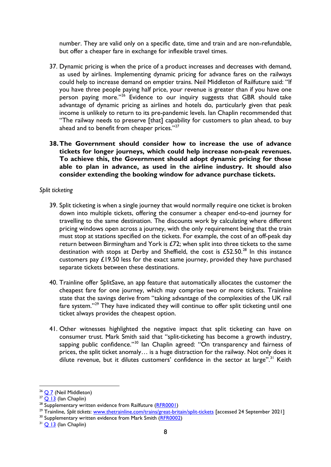number. They are valid only on a specific date, time and train and are non-refundable, but offer a cheaper fare in exchange for inflexible travel times.

- 37. Dynamic pricing is when the price of a product increases and decreases with demand, as used by airlines. Implementing dynamic pricing for advance fares on the railways could help to increase demand on emptier trains. Neil Middleton of Railfuture said: "If you have three people paying half price, your revenue is greater than if you have one person paying more."<sup>[26](#page-7-0)</sup> Evidence to our inquiry suggests that GBR should take advantage of dynamic pricing as airlines and hotels do, particularly given that peak income is unlikely to return to its pre-pandemic levels. Ian Chaplin recommended that "The railway needs to preserve [that] capability for customers to plan ahead, to buy ahead and to benefit from cheaper prices."<sup>27</sup>
- **38.The Government should consider how to increase the use of advance tickets for longer journeys, which could help increase non-peak revenues. To achieve this, the Government should adopt dynamic pricing for those able to plan in advance, as used in the airline industry. It should also consider extending the booking window for advance purchase tickets.**

### *Split ticketing*

- 39. Split ticketing is when a single journey that would normally require one ticket is broken down into multiple tickets, offering the consumer a cheaper end-to-end journey for travelling to the same destination. The discounts work by calculating where different pricing windows open across a journey, with the only requirement being that the train must stop at stations specified on the tickets. For example, the cost of an off-peak day return between Birmingham and York is  $E(72)$ ; when split into three tickets to the same destination with stops at Derby and Sheffield, the cost is  $£52.50<sup>28</sup>$  $£52.50<sup>28</sup>$  $£52.50<sup>28</sup>$  In this instance customers pay  $£19.50$  less for the exact same journey, provided they have purchased separate tickets between these destinations.
- 40. Trainline offer SplitSave, an app feature that automatically allocates the customer the cheapest fare for one journey, which may comprise two or more tickets. Trainline state that the savings derive from "taking advantage of the complexities of the UK rail fare system."<sup>[29](#page-7-3)</sup> They have indicated they will continue to offer split ticketing until one ticket always provides the cheapest option.
- 41. Other witnesses highlighted the negative impact that split ticketing can have on consumer trust. Mark Smith said that "split-ticketing has become a growth industry, sapping public confidence."<sup>[30](#page-7-4)</sup> Ian Chaplin agreed: "On transparency and fairness of prices, the split ticket anomaly… is a huge distraction for the railway. Not only does it dilute revenue, but it dilutes customers' confidence in the sector at large".<sup>[31](#page-7-5)</sup> Keith

<sup>29</sup> Trainline, *Split tickets*: <u>www.thetrainline.com/trains/great-britain/split-tickets</u> [accessed 24 September 2021]

<span id="page-7-4"></span><span id="page-7-3"></span><sup>30</sup> Supplementary written evidence from Mark Smith [\(RFR0002\)](https://committees.parliament.uk/writtenevidence/38488/html/)

<span id="page-7-0"></span> $26$  [Q](https://committees.parliament.uk/oralevidence/2569/html/) 7 (Neil Middleton)

<span id="page-7-1"></span> $27$   $\overline{Q}$  13 (Ian Chaplin)

<span id="page-7-2"></span><sup>&</sup>lt;sup>28</sup> Supplementary written evidence from Railfuture (<mark>RFR0001)</mark>

<span id="page-7-5"></span> $31$  [Q 13](https://committees.parliament.uk/oralevidence/2684/html/) (Ian Chaplin)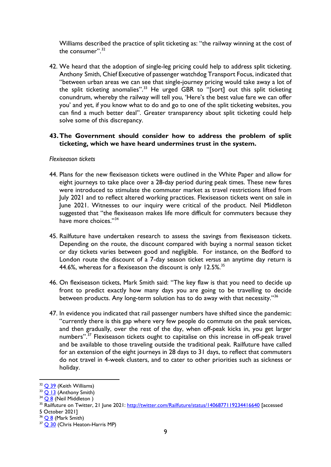Williams described the practice of split ticketing as: "the railway winning at the cost of the consumer".<sup>[32](#page-8-0)</sup>

42. We heard that the adoption of single-leg pricing could help to address split ticketing. Anthony Smith, Chief Executive of passenger watchdog Transport Focus, indicated that "between urban areas we can see that single-journey pricing would take away a lot of the split ticketing anomalies".<sup>[33](#page-8-1)</sup> He urged GBR to "[sort] out this split ticketing conundrum, whereby the railway will tell you, 'Here's the best value fare we can offer you' and yet, if you know what to do and go to one of the split ticketing websites, you can find a much better deal". Greater transparency about split ticketing could help solve some of this discrepancy.

### **43.The Government should consider how to address the problem of split ticketing, which we have heard undermines trust in the system.**

### *Flexiseason tickets*

- 44. Plans for the new flexiseason tickets were outlined in the White Paper and allow for eight journeys to take place over a 28-day period during peak times. These new fares were introduced to stimulate the commuter market as travel restrictions lifted from July 2021 and to reflect altered working practices. Flexiseason tickets went on sale in June 2021. Witnesses to our inquiry were critical of the product. Neil Middleton suggested that "the flexiseason makes life more difficult for commuters because they have more choices."[34](#page-8-2)
- 45. Railfuture have undertaken research to assess the savings from flexiseason tickets. Depending on the route, the discount compared with buying a normal season ticket or day tickets varies between good and negligible. For instance, on the Bedford to London route the discount of a 7-day season ticket *versus* an anytime day return is 44.6%, whereas for a flexiseason the discount is only 12.5%.<sup>[35](#page-8-3)</sup>
- 46. On flexiseason tickets, Mark Smith said: "The key flaw is that you need to decide up front to predict exactly how many days you are going to be travelling to decide between products. Any long-term solution has to do away with that necessity."<sup>[36](#page-8-4)</sup>
- 47. In evidence you indicated that rail passenger numbers have shifted since the pandemic: "currently there is this gap where very few people do commute on the peak services, and then gradually, over the rest of the day, when off-peak kicks in, you get larger numbers".<sup>[37](#page-8-5)</sup> Flexiseason tickets ought to capitalise on this increase in off-peak travel and be available to those traveling outside the traditional peak. Railfuture have called for an extension of the eight journeys in 28 days to 31 days, to reflect that commuters do not travel in 4-week clusters, and to cater to other priorities such as sickness or holiday.

<span id="page-8-0"></span><sup>&</sup>lt;sup>32</sup> [Q 39](https://committees.parliament.uk/oralevidence/2738/pdf/) (Keith Williams)

<span id="page-8-1"></span><sup>&</sup>lt;sup>33</sup> [Q 13](https://committees.parliament.uk/oralevidence/2684/html/) (Anthony Smith)

<span id="page-8-2"></span> $34$   $\overline{Q8}$  (Neil Middleton)

<span id="page-8-3"></span><sup>&</sup>lt;sup>35</sup> Railfuture on Twitter, 21 June 2021:<http://twitter.com/Railfuture/status/1406877119234416640> [accessed 5 October 2021]

<span id="page-8-4"></span> $36$  [Q 8](https://committees.parliament.uk/oralevidence/2569/html/) (Mark Smith)

<span id="page-8-5"></span><sup>&</sup>lt;sup>37</sup> [Q 30](https://committees.parliament.uk/oralevidence/2738/html/) (Chris Heaton-Harris MP)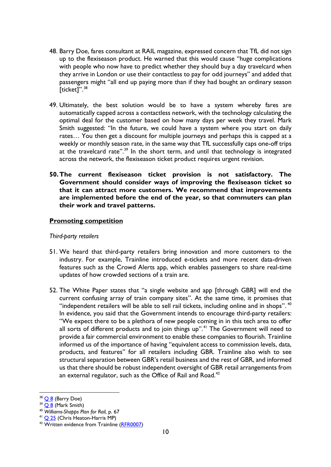- 48. Barry Doe, fares consultant at RAIL magazine, expressed concern that TfL did not sign up to the flexiseason product. He warned that this would cause "huge complications with people who now have to predict whether they should buy a day travelcard when they arrive in London or use their contactless to pay for odd journeys" and added that passengers might "all end up paying more than if they had bought an ordinary season [ticket]".<sup>[38](#page-9-0)</sup>
- 49. Ultimately, the best solution would be to have a system whereby fares are automatically capped across a contactless network, with the technology calculating the optimal deal for the customer based on how many days per week they travel. Mark Smith suggested: "In the future, we could have a system where you start on daily rates… You then get a discount for multiple journeys and perhaps this is capped at a weekly or monthly season rate, in the same way that TfL successfully caps one-off trips at the travelcard rate".<sup>[39](#page-9-1)</sup> In the short term, and until that technology is integrated across the network, the flexiseason ticket product requires urgent revision.
- **50.The current flexiseason ticket provision is not satisfactory. The Government should consider ways of improving the flexiseason ticket so that it can attract more customers. We recommend that improvements are implemented before the end of the year, so that commuters can plan their work and travel patterns.**

### **Promoting competition**

### *Third-party retailers*

- 51. We heard that third-party retailers bring innovation and more customers to the industry. For example, Trainline introduced e-tickets and more recent data-driven features such as the Crowd Alerts app, which enables passengers to share real-time updates of how crowded sections of a train are.
- 52. The White Paper states that "a single website and app [through GBR] will end the current confusing array of train company sites". At the same time, it promises that "independent retailers will be able to sell rail tickets, including online and in shops".  $40$ In evidence, you said that the Government intends to encourage third-party retailers: "We expect there to be a plethora of new people coming in in this tech area to offer all sorts of different products and to join things up".<sup>[41](#page-9-3)</sup> The Government will need to provide a fair commercial environment to enable these companies to flourish. Trainline informed us of the importance of having "equivalent access to commission levels, data, products, and features" for all retailers including GBR. Trainline also wish to see structural separation between GBR's retail business and the rest of GBR, and informed us that there should be robust independent oversight of GBR retail arrangements from an external regulator, such as the Office of Rail and Road. $42$

<span id="page-9-0"></span> $38$   $\overline{\bigcirc}$  8 (Barry Doe)

<span id="page-9-1"></span> $39$   $\overline{O8}$  (Mark Smith)

<span id="page-9-2"></span><sup>40</sup> *Williams-Shapps Plan for Rail,* p. 67

<span id="page-9-3"></span><sup>&</sup>lt;sup>41</sup> Q [25](https://committees.parliament.uk/oralevidence/2738/html/) (Chris Heaton-Harris MP)

<span id="page-9-4"></span><sup>42</sup> Written evidence from Trainline [\(RFR0007\)](https://committees.parliament.uk/writtenevidence/39718/html/)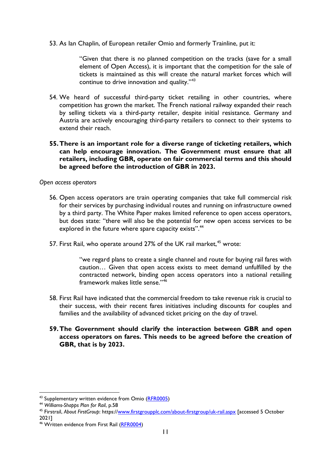53. As Ian Chaplin, of European retailer Omio and formerly Trainline, put it:

"Given that there is no planned competition on the tracks (save for a small element of Open Access), it is important that the competition for the sale of tickets is maintained as this will create the natural market forces which will continue to drive innovation and quality."<sup>[43](#page-10-0)</sup>

- 54. We heard of successful third-party ticket retailing in other countries, where competition has grown the market. The French national railway expanded their reach by selling tickets via a third-party retailer, despite initial resistance. Germany and Austria are actively encouraging third-party retailers to connect to their systems to extend their reach.
- **55.There is an important role for a diverse range of ticketing retailers, which can help encourage innovation. The Government must ensure that all retailers, including GBR, operate on fair commercial terms and this should be agreed before the introduction of GBR in 2023.**

*Open access operators* 

- 56. Open access operators are train operating companies that take full commercial risk for their services by purchasing individual routes and running on infrastructure owned by a third party. The White Paper makes limited reference to open access operators, but does state: "there will also be the potential for new open access services to be explored in the future where spare capacity exists".<sup>44</sup>
- 57. First Rail, who operate around 27% of the UK rail market,<sup>[45](#page-10-2)</sup> wrote:

"we regard plans to create a single channel and route for buying rail fares with caution… Given that open access exists to meet demand unfulfilled by the contracted network, binding open access operators into a national retailing framework makes little sense."[46](#page-10-3)

- 58. First Rail have indicated that the commercial freedom to take revenue risk is crucial to their success, with their recent fares initiatives including discounts for couples and families and the availability of advanced ticket pricing on the day of travel.
- **59.The Government should clarify the interaction between GBR and open access operators on fares. This needs to be agreed before the creation of GBR, that is by 2023.**

<span id="page-10-0"></span><sup>&</sup>lt;sup>43</sup> Supplementary written evidence from Omio [\(RFR0005\)](https://committees.parliament.uk/writtenevidence/39506/html/)

<span id="page-10-1"></span><sup>44</sup> *Williams-Shapps Plan for Rail*, p.58

<span id="page-10-2"></span><sup>45</sup> Firstrail, *About FirstGroup*: https:/[/www.firstgroupplc.com/about-firstgroup/uk-rail.aspx](http://www.firstgroupplc.com/about-firstgroup/uk-rail.aspx) [accessed 5 October 2021]

<span id="page-10-3"></span><sup>&</sup>lt;sup>46</sup> Written evidence from First Rail [\(RFR0004\)](https://committees.parliament.uk/writtenevidence/39505/html/)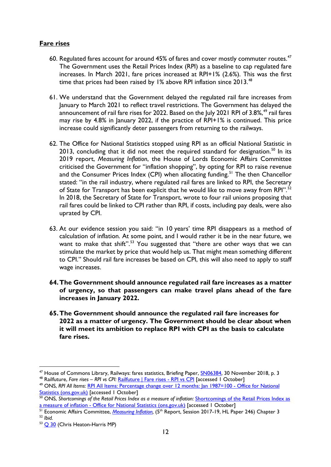# **Fare rises**

- 60. Regulated fares account for around 45% of fares and cover mostly commuter routes.<sup>[47](#page-11-0)</sup> The Government uses the Retail Prices Index (RPI) as a baseline to cap regulated fare increases. In March 2021, fare prices increased at RPI+1% (2.6%). This was the first time that prices had been raised by 1% above RPI inflation since  $2013.^{48}$  $2013.^{48}$  $2013.^{48}$
- 61. We understand that the Government delayed the regulated rail fare increases from January to March 2021 to reflect travel restrictions. The Government has delayed the announcement of rail fare rises for 2022. Based on the July 2021 RPI of 3.8%, [49](#page-11-2) rail fares may rise by 4.8% in January 2022, if the practice of RPI+1% is continued. This price increase could significantly deter passengers from returning to the railways.
- 62. The Office for National Statistics stopped using RPI as an official National Statistic in 2013, concluding that it did not meet the required standard for designation.<sup>[50](#page-11-3)</sup> In its 2019 report, *Measuring Inflation*, the House of Lords Economic Affairs Committee criticised the Government for "inflation shopping", by opting for RPI to raise revenue and the Consumer Prices Index (CPI) when allocating funding.<sup>[51](#page-11-4)</sup> The then Chancellor stated: "in the rail industry, where regulated rail fares are linked to RPI, the Secretary of State for Transport has been explicit that he would like to move away from RPI".<sup>[52](#page-11-5)</sup> In 2018, the Secretary of State for Transport, wrote to four rail unions proposing that rail fares could be linked to CPI rather than RPI, if costs, including pay deals, were also uprated by CPI.
- 63. At our evidence session you said: "in 10 years' time RPI disappears as a method of calculation of inflation. At some point, and I would rather it be in the near future, we want to make that shift".<sup>[53](#page-11-6)</sup> You suggested that "there are other ways that we can stimulate the market by price that would help us. That might mean something different to CPI." Should rail fare increases be based on CPI, this will also need to apply to staff wage increases.
- **64.The Government should announce regulated rail fare increases as a matter of urgency, so that passengers can make travel plans ahead of the fare increases in January 2022.**
- **65.The Government should announce the regulated rail fare increases for 2022 as a matter of urgency. The Government should be clear about when it will meet its ambition to replace RPI with CPI as the basis to calculate fare rises.**

<span id="page-11-0"></span><sup>&</sup>lt;sup>47</sup> House of Commons Library, Railways: fares statistics, Briefing Paper, <u>SN06384</u>, 30 November 2018, p. 3<br><sup>48</sup> Railfuture, *Fare rises – RPI vs CPI: Railfuture* | Fare rises - RPI vs CPI [accessed 1 October]

<span id="page-11-1"></span><sup>49</sup> ONS, *RPI All Items*: [RPI All Items: Percentage change over 12 months: Jan 1987=100 -](https://www.ons.gov.uk/economy/inflationandpriceindices/timeseries/czbh/mm23) Office for National

<span id="page-11-3"></span><span id="page-11-2"></span>[Statistics \(ons.gov.uk\)](https://www.ons.gov.uk/economy/inflationandpriceindices/timeseries/czbh/mm23) [accessed 1 October] 50 ONS, [Shortcomings of the Retail Prices Index as](https://www.ons.gov.uk/economy/inflationandpriceindices/articles/shortcomingsoftheretailpricesindexasameasureofinflation/2018-03-08) a measure of inflation: **Shortcomings of the Retail Prices Index as** <u>a measure of inflation - [Office for National Statistics \(ons.gov.uk\)](https://www.ons.gov.uk/economy/inflationandpriceindices/articles/shortcomingsoftheretailpricesindexasameasureofinflation/2018-03-08)</u> [accessed 1 October]

<span id="page-11-4"></span><sup>&</sup>lt;sup>51</sup> Economic Affairs Committee, <u>Measuring Inflation</u>, (5<sup>th</sup> Report, Session 2017-19, HL Paper 246) Chapter 3 <sup>52</sup> *Ibid.*

<span id="page-11-6"></span><span id="page-11-5"></span><sup>53</sup> Q [30](https://committees.parliament.uk/oralevidence/2738/html/) (Chris Heaton-Harris MP)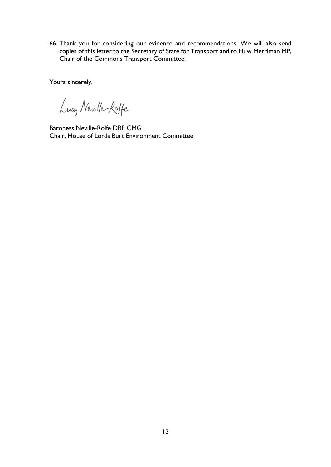66. Thank you for considering our evidence and recommendations. We will also send copies of this letter to the Secretary of State for Transport and to Huw Merriman MP, Chair of the Commons Transport Committee.

Yours sincerely,

Lucy Neille-Rolfe

Baroness Neville-Rolfe DBE CMG Chair, House of Lords Built Environment Committee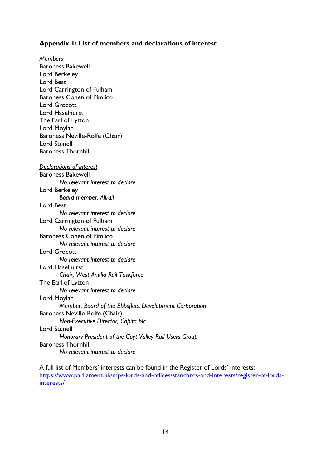### **Appendix 1: List of members and declarations of interest**

*Members* Baroness Bakewell Lord Berkeley Lord Best Lord Carrington of Fulham Baroness Cohen of Pimlico Lord Grocott Lord Haselhurst The Earl of Lytton Lord Moylan Baroness Neville-Rolfe (Chair) Lord Stunell Baroness Thornhill *Declarations of interest* Baroness Bakewell *No relevant interest to declare* Lord Berkeley *Board member, Allrail* Lord Best *No relevant interest to declare* Lord Carrington of Fulham *No relevant interest to declare* Baroness Cohen of Pimlico *No relevant interest to declare* Lord Grocott *No relevant interest to declare* Lord Haselhurst *Chair, West Anglia Rail Taskforce* The Earl of Lytton *No relevant interest to declare* Lord Moylan *Member, Board of the Ebbsfleet Development Corporation* Baroness Neville-Rolfe (Chair) *Non-Executive Director, Capita plc* Lord Stunell *Honorary President of the Goyt Valley Rail Users Group* Baroness Thornhill *No relevant interest to declare*

A full list of Members' interests can be found in the Register of Lords' interests: [https://www.parliament.uk/mps-lords-and-offices/standards-and-interests/register-of-lords](https://www.parliament.uk/mps-lords-and-offices/standards-and-interests/register-of-lords-interests/)[interests/](https://www.parliament.uk/mps-lords-and-offices/standards-and-interests/register-of-lords-interests/)